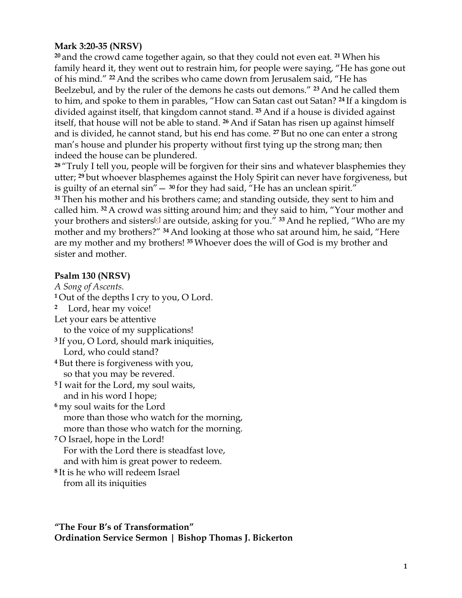### **Mark 3:20-35 (NRSV)**

**<sup>20</sup>** and the crowd came together again, so that they could not even eat. **<sup>21</sup>** When his family heard it, they went out to restrain him, for people were saying, "He has gone out of his mind." **<sup>22</sup>** And the scribes who came down from Jerusalem said, "He has Beelzebul, and by the ruler of the demons he casts out demons." **<sup>23</sup>** And he called them to him, and spoke to them in parables, "How can Satan cast out Satan? **<sup>24</sup>** If a kingdom is divided against itself, that kingdom cannot stand. **<sup>25</sup>** And if a house is divided against itself, that house will not be able to stand. **<sup>26</sup>** And if Satan has risen up against himself and is divided, he cannot stand, but his end has come. **<sup>27</sup>** But no one can enter a strong man's house and plunder his property without first tying up the strong man; then indeed the house can be plundered.

**<sup>28</sup>** "Truly I tell you, people will be forgiven for their sins and whatever blasphemies they utter; **<sup>29</sup>** but whoever blasphemes against the Holy Spirit can never have forgiveness, but is guilty of an eternal sin"— **<sup>30</sup>** for they had said, "He has an unclean spirit." **<sup>31</sup>** Then his mother and his brothers came; and standing outside, they sent to him and called him. **<sup>32</sup>** A crowd was sitting around him; and they said to him, "Your mother and your brothers and sisters<sup>[c]</sup> are outside, asking for you." <sup>33</sup> And he replied, "Who are my mother and my brothers?" **<sup>34</sup>** And looking at those who sat around him, he said, "Here are my mother and my brothers! **<sup>35</sup>** Whoever does the will of God is my brother and sister and mother.

#### **Psalm 130 (NRSV)**

*A Song of Ascents.* **<sup>1</sup>** Out of the depths I cry to you, O Lord. **<sup>2</sup>** Lord, hear my voice! Let your ears be attentive to the voice of my supplications! **<sup>3</sup>** If you, O Lord, should mark iniquities, Lord, who could stand? **<sup>4</sup>** But there is forgiveness with you, so that you may be revered. **<sup>5</sup>** I wait for the Lord, my soul waits, and in his word I hope; **<sup>6</sup>** my soul waits for the Lord more than those who watch for the morning, more than those who watch for the morning. **<sup>7</sup>** O Israel, hope in the Lord! For with the Lord there is steadfast love, and with him is great power to redeem. **<sup>8</sup>** It is he who will redeem Israel from all its iniquities

**"The Four B's of Transformation" Ordination Service Sermon | Bishop Thomas J. Bickerton**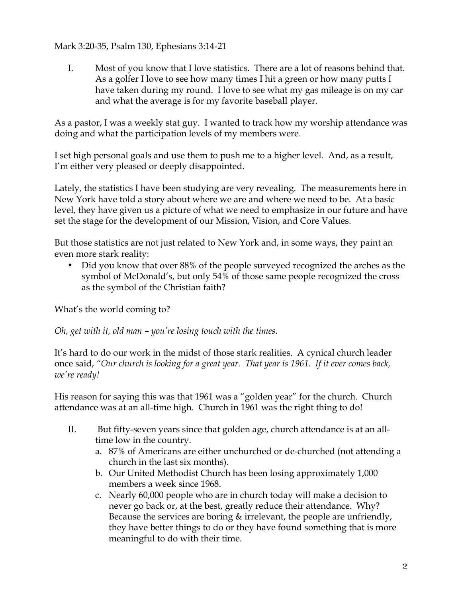### Mark 3:20-35, Psalm 130, Ephesians 3:14-21

I. Most of you know that I love statistics. There are a lot of reasons behind that. As a golfer I love to see how many times I hit a green or how many putts I have taken during my round. I love to see what my gas mileage is on my car and what the average is for my favorite baseball player.

As a pastor, I was a weekly stat guy. I wanted to track how my worship attendance was doing and what the participation levels of my members were.

I set high personal goals and use them to push me to a higher level. And, as a result, I'm either very pleased or deeply disappointed.

Lately, the statistics I have been studying are very revealing. The measurements here in New York have told a story about where we are and where we need to be. At a basic level, they have given us a picture of what we need to emphasize in our future and have set the stage for the development of our Mission, Vision, and Core Values.

But those statistics are not just related to New York and, in some ways, they paint an even more stark reality:

• Did you know that over 88% of the people surveyed recognized the arches as the symbol of McDonald's, but only 54% of those same people recognized the cross as the symbol of the Christian faith?

What's the world coming to?

*Oh, get with it, old man – you're losing touch with the times.*

It's hard to do our work in the midst of those stark realities. A cynical church leader once said, *"Our church is looking for a great year. That year is 1961. If it ever comes back, we're ready!*

His reason for saying this was that 1961 was a "golden year" for the church. Church attendance was at an all-time high. Church in 1961 was the right thing to do!

- II. But fifty-seven years since that golden age, church attendance is at an alltime low in the country.
	- a. 87% of Americans are either unchurched or de-churched (not attending a church in the last six months).
	- b. Our United Methodist Church has been losing approximately 1,000 members a week since 1968.
	- c. Nearly 60,000 people who are in church today will make a decision to never go back or, at the best, greatly reduce their attendance. Why? Because the services are boring  $\&$  irrelevant, the people are unfriendly, they have better things to do or they have found something that is more meaningful to do with their time.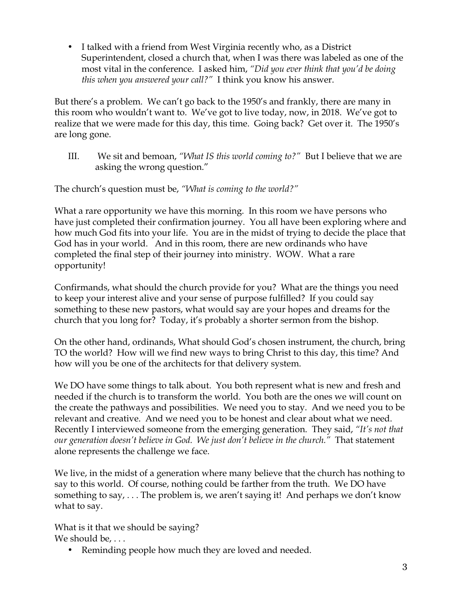• I talked with a friend from West Virginia recently who, as a District Superintendent, closed a church that, when I was there was labeled as one of the most vital in the conference. I asked him, *"Did you ever think that you'd be doing this when you answered your call?"* I think you know his answer.

But there's a problem. We can't go back to the 1950's and frankly, there are many in this room who wouldn't want to. We've got to live today, now, in 2018. We've got to realize that we were made for this day, this time. Going back? Get over it. The 1950's are long gone.

III. We sit and bemoan, *"What IS this world coming to?"* But I believe that we are asking the wrong question."

The church's question must be, *"What is coming to the world?"* 

What a rare opportunity we have this morning. In this room we have persons who have just completed their confirmation journey. You all have been exploring where and how much God fits into your life. You are in the midst of trying to decide the place that God has in your world. And in this room, there are new ordinands who have completed the final step of their journey into ministry. WOW. What a rare opportunity!

Confirmands, what should the church provide for you? What are the things you need to keep your interest alive and your sense of purpose fulfilled? If you could say something to these new pastors, what would say are your hopes and dreams for the church that you long for? Today, it's probably a shorter sermon from the bishop.

On the other hand, ordinands, What should God's chosen instrument, the church, bring TO the world? How will we find new ways to bring Christ to this day, this time? And how will you be one of the architects for that delivery system.

We DO have some things to talk about. You both represent what is new and fresh and needed if the church is to transform the world. You both are the ones we will count on the create the pathways and possibilities. We need you to stay. And we need you to be relevant and creative. And we need you to be honest and clear about what we need. Recently I interviewed someone from the emerging generation. They said, *"It's not that our generation doesn't believe in God. We just don't believe in the church."* That statement alone represents the challenge we face.

We live, in the midst of a generation where many believe that the church has nothing to say to this world. Of course, nothing could be farther from the truth. We DO have something to say, . . . The problem is, we aren't saying it! And perhaps we don't know what to say.

What is it that we should be saying? We should be, ...

• Reminding people how much they are loved and needed.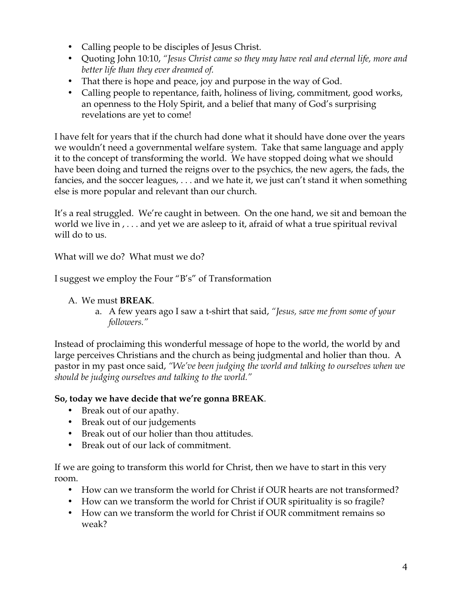- Calling people to be disciples of Jesus Christ.
- Quoting John 10:10, *"Jesus Christ came so they may have real and eternal life, more and better life than they ever dreamed of.*
- That there is hope and peace, joy and purpose in the way of God.
- Calling people to repentance, faith, holiness of living, commitment, good works, an openness to the Holy Spirit, and a belief that many of God's surprising revelations are yet to come!

I have felt for years that if the church had done what it should have done over the years we wouldn't need a governmental welfare system. Take that same language and apply it to the concept of transforming the world. We have stopped doing what we should have been doing and turned the reigns over to the psychics, the new agers, the fads, the fancies, and the soccer leagues, . . . and we hate it, we just can't stand it when something else is more popular and relevant than our church.

It's a real struggled. We're caught in between. On the one hand, we sit and bemoan the world we live in , . . . and yet we are asleep to it, afraid of what a true spiritual revival will do to us.

What will we do? What must we do?

I suggest we employ the Four "B's" of Transformation

### A. We must **BREAK**.

a. A few years ago I saw a t-shirt that said, *"Jesus, save me from some of your followers."*

Instead of proclaiming this wonderful message of hope to the world, the world by and large perceives Christians and the church as being judgmental and holier than thou. A pastor in my past once said, *"We've been judging the world and talking to ourselves when we should be judging ourselves and talking to the world."*

### **So, today we have decide that we're gonna BREAK**.

- Break out of our apathy.
- Break out of our judgements
- Break out of our holier than thou attitudes.
- Break out of our lack of commitment.

If we are going to transform this world for Christ, then we have to start in this very room.

- How can we transform the world for Christ if OUR hearts are not transformed?
- How can we transform the world for Christ if OUR spirituality is so fragile?
- How can we transform the world for Christ if OUR commitment remains so weak?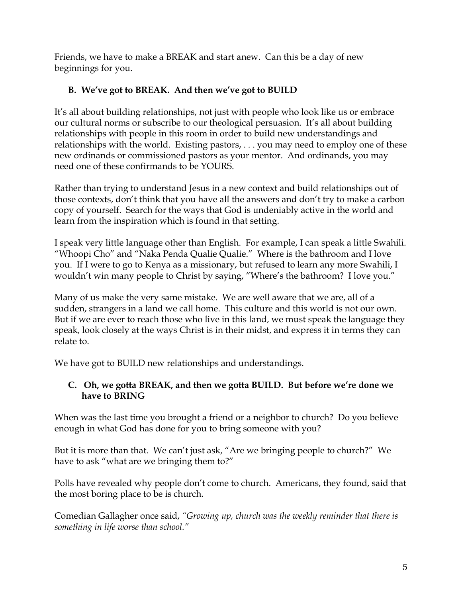Friends, we have to make a BREAK and start anew. Can this be a day of new beginnings for you.

# **B. We've got to BREAK. And then we've got to BUILD**

It's all about building relationships, not just with people who look like us or embrace our cultural norms or subscribe to our theological persuasion. It's all about building relationships with people in this room in order to build new understandings and relationships with the world. Existing pastors, . . . you may need to employ one of these new ordinands or commissioned pastors as your mentor. And ordinands, you may need one of these confirmands to be YOURS.

Rather than trying to understand Jesus in a new context and build relationships out of those contexts, don't think that you have all the answers and don't try to make a carbon copy of yourself. Search for the ways that God is undeniably active in the world and learn from the inspiration which is found in that setting.

I speak very little language other than English. For example, I can speak a little Swahili. "Whoopi Cho" and "Naka Penda Qualie Qualie." Where is the bathroom and I love you. If I were to go to Kenya as a missionary, but refused to learn any more Swahili, I wouldn't win many people to Christ by saying, "Where's the bathroom? I love you."

Many of us make the very same mistake. We are well aware that we are, all of a sudden, strangers in a land we call home. This culture and this world is not our own. But if we are ever to reach those who live in this land, we must speak the language they speak, look closely at the ways Christ is in their midst, and express it in terms they can relate to.

We have got to BUILD new relationships and understandings.

## **C. Oh, we gotta BREAK, and then we gotta BUILD. But before we're done we have to BRING**

When was the last time you brought a friend or a neighbor to church? Do you believe enough in what God has done for you to bring someone with you?

But it is more than that. We can't just ask, "Are we bringing people to church?" We have to ask "what are we bringing them to?"

Polls have revealed why people don't come to church. Americans, they found, said that the most boring place to be is church.

Comedian Gallagher once said, *"Growing up, church was the weekly reminder that there is something in life worse than school."*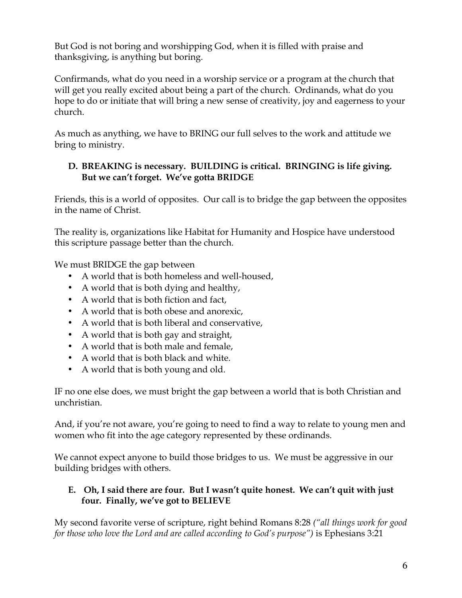But God is not boring and worshipping God, when it is filled with praise and thanksgiving, is anything but boring.

Confirmands, what do you need in a worship service or a program at the church that will get you really excited about being a part of the church. Ordinands, what do you hope to do or initiate that will bring a new sense of creativity, joy and eagerness to your church.

As much as anything, we have to BRING our full selves to the work and attitude we bring to ministry.

## **D. BREAKING is necessary. BUILDING is critical. BRINGING is life giving. But we can't forget. We've gotta BRIDGE**

Friends, this is a world of opposites. Our call is to bridge the gap between the opposites in the name of Christ.

The reality is, organizations like Habitat for Humanity and Hospice have understood this scripture passage better than the church.

We must BRIDGE the gap between

- A world that is both homeless and well-housed,
- A world that is both dying and healthy,
- A world that is both fiction and fact,
- A world that is both obese and anorexic,
- A world that is both liberal and conservative,
- A world that is both gay and straight,
- A world that is both male and female,
- A world that is both black and white.
- A world that is both young and old.

IF no one else does, we must bright the gap between a world that is both Christian and unchristian.

And, if you're not aware, you're going to need to find a way to relate to young men and women who fit into the age category represented by these ordinands.

We cannot expect anyone to build those bridges to us. We must be aggressive in our building bridges with others.

## **E. Oh, I said there are four. But I wasn't quite honest. We can't quit with just four. Finally, we've got to BELIEVE**

My second favorite verse of scripture, right behind Romans 8:28 *("all things work for good for those who love the Lord and are called according to God's purpose")* is Ephesians 3:21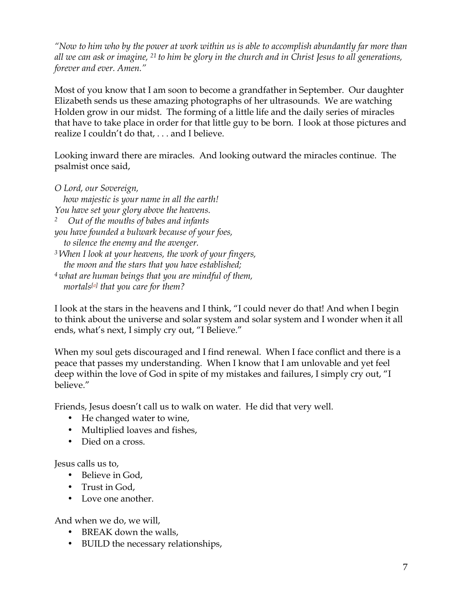*"Now to him who by the power at work within us is able to accomplish abundantly far more than all we can ask or imagine, <sup>21</sup> to him be glory in the church and in Christ Jesus to all generations, forever and ever. Amen."*

Most of you know that I am soon to become a grandfather in September. Our daughter Elizabeth sends us these amazing photographs of her ultrasounds. We are watching Holden grow in our midst. The forming of a little life and the daily series of miracles that have to take place in order for that little guy to be born. I look at those pictures and realize I couldn't do that, . . . and I believe.

Looking inward there are miracles. And looking outward the miracles continue. The psalmist once said,

*O Lord, our Sovereign,*

 *how majestic is your name in all the earth! You have set your glory above the heavens. 2 Out of the mouths of babes and infants you have founded a bulwark because of your foes, to silence the enemy and the avenger. <sup>3</sup> When I look at your heavens, the work of your fingers, the moon and the stars that you have established; <sup>4</sup> what are human beings that you are mindful of them, mortals[a] that you care for them?*

I look at the stars in the heavens and I think, "I could never do that! And when I begin to think about the universe and solar system and solar system and I wonder when it all ends, what's next, I simply cry out, "I Believe."

When my soul gets discouraged and I find renewal. When I face conflict and there is a peace that passes my understanding. When I know that I am unlovable and yet feel deep within the love of God in spite of my mistakes and failures, I simply cry out, "I believe."

Friends, Jesus doesn't call us to walk on water. He did that very well.

- He changed water to wine,
- Multiplied loaves and fishes,
- Died on a cross.

Jesus calls us to,

- Believe in God,
- Trust in God.
- Love one another.

And when we do, we will,

- BREAK down the walls,
- BUILD the necessary relationships,